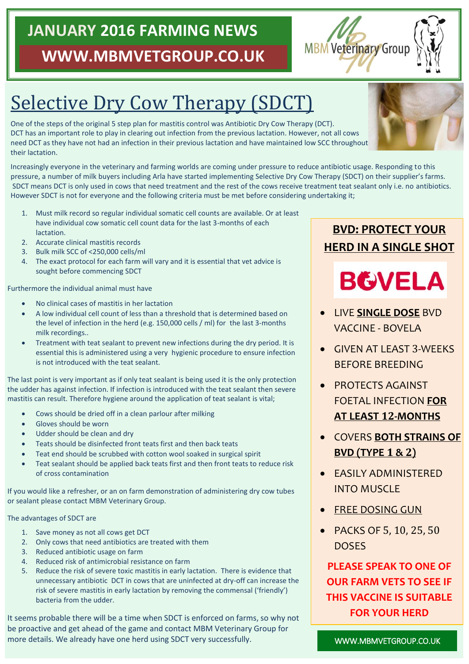# **JANUARY 2016 FARMING NEWS WWW.MBMVETGROUP.CO.UK**

# Selective Dry Cow Therapy (SDCT)

One of the steps of the original 5 step plan for mastitis control was Antibiotic Dry Cow Therapy (DCT). DCT has an important role to play in clearing out infection from the previous lactation. However, not all cows need DCT as they have not had an infection in their previous lactation and have maintained low SCC throughout their lactation.

Increasingly everyone in the veterinary and farming worlds are coming under pressure to reduce antibiotic usage. Responding to this pressure, a number of milk buyers including Arla have started implementing Selective Dry Cow Therapy (SDCT) on their supplier's farms. SDCT means DCT is only used in cows that need treatment and the rest of the cows receive treatment teat sealant only i.e. no antibiotics. However SDCT is not for everyone and the following criteria must be met before considering undertaking it;

- 1. Must milk record so regular individual somatic cell counts are available. Or at least have individual cow somatic cell count data for the last 3-months of each **lactation**
- 2. Accurate clinical mastitis records
- 3. Bulk milk SCC of <250,000 cells/ml
- 4. The exact protocol for each farm will vary and it is essential that vet advice is sought before commencing SDCT

Furthermore the individual animal must have

- No clinical cases of mastitis in her lactation
- A low individual cell count of less than a threshold that is determined based on the level of infection in the herd (e.g. 150,000 cells / ml) for the last 3-months milk recordings..
- Treatment with teat sealant to prevent new infections during the dry period. It is essential this is administered using a very hygienic procedure to ensure infection is not introduced with the teat sealant.

The last point is very important as if only teat sealant is being used it is the only protection the udder has against infection. If infection is introduced with the teat sealant then severe mastitis can result. Therefore hygiene around the application of teat sealant is vital;

- Cows should be dried off in a clean parlour after milking
- Gloves should be worn
- Udder should be clean and dry
- Teats should be disinfected front teats first and then back teats
- Teat end should be scrubbed with cotton wool soaked in surgical spirit
- Teat sealant should be applied back teats first and then front teats to reduce risk of cross contamination

If you would like a refresher, or an on farm demonstration of administering dry cow tubes or sealant please contact MBM Veterinary Group.

#### The advantages of SDCT are

- 1. Save money as not all cows get DCT
- 2. Only cows that need antibiotics are treated with them
- 3. Reduced antibiotic usage on farm
- 4. Reduced risk of antimicrobial resistance on farm
- 5. Reduce the risk of severe toxic mastitis in early lactation. There is evidence that unnecessary antibiotic DCT in cows that are uninfected at dry-off can increase the risk of severe mastitis in early lactation by removing the commensal ('friendly') bacteria from the udder.

It seems probable there will be a time when SDCT is enforced on farms, so why not be proactive and get ahead of the game and contact MBM Veterinary Group for more details. We already have one herd using SDCT very successfully.

## **BVD: PROTECT YOUR HERD IN A SINGLE SHOT**

# **BGVELA**

- LIVE **SINGLE DOSE** BVD VACCINE - BOVELA
- GIVEN AT LEAST 3-WEEKS BEFORE BREEDING
- PROTECTS AGAINST FOETAL INFECTION **FOR AT LEAST 12-MONTHS**
- COVERS **BOTH STRAINS OF BVD (TYPE 1 & 2)**
- EASILY ADMINISTERED INTO MUSCLE
- **FREE DOSING GUN**
- PACKS OF 5, 10, 25, 50 DOSES

**PLEASE SPEAK TO ONE OF OUR FARM VETS TO SEE IF THIS VACCINE IS SUITABLE FOR YOUR HERD**